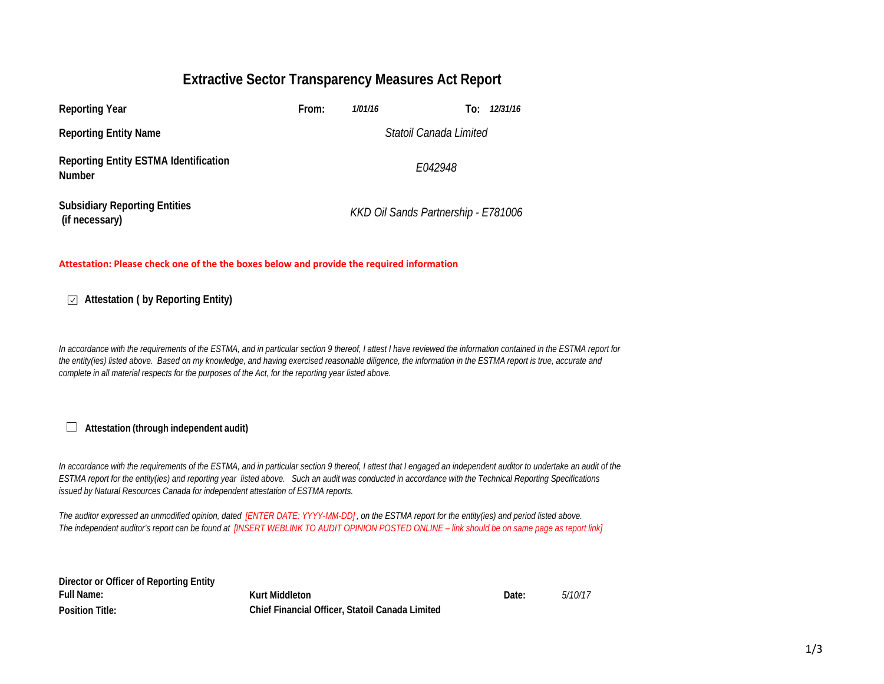## **Extractive Sector Transparency Measures Act Report**

| <b>Reporting Year</b>                                         | From:   | 1/01/16 | To:                                 | 12/31/16 |  |
|---------------------------------------------------------------|---------|---------|-------------------------------------|----------|--|
| <b>Reporting Entity Name</b>                                  |         |         | Statoil Canada Limited              |          |  |
| <b>Reporting Entity ESTMA Identification</b><br><b>Number</b> | E042948 |         |                                     |          |  |
| <b>Subsidiary Reporting Entities</b><br>(if necessary)        |         |         | KKD Oil Sands Partnership - E781006 |          |  |

## **Attestation: Please check one of the the boxes below and provide the required information**

**Attestation ( by Reporting Entity)**

*In accordance with the requirements of the ESTMA, and in particular section 9 thereof, I attest I have reviewed the information contained in the ESTMA report for the entity(ies) listed above. Based on my knowledge, and having exercised reasonable diligence, the information in the ESTMA report is true, accurate and complete in all material respects for the purposes of the Act, for the reporting year listed above.* 

**Attestation (through independent audit)** $\Box$ 

*In accordance with the requirements of the ESTMA, and in particular section 9 thereof, I attest that I engaged an independent auditor to undertake an audit of the ESTMA report for the entity(ies) and reporting year listed above. Such an audit was conducted in accordance with the Technical Reporting Specifications issued by Natural Resources Canada for independent attestation of ESTMA reports.* 

*The auditor expressed an unmodified opinion, dated [ENTER DATE: YYYY-MM-DD] , on the ESTMA report for the entity(ies) and period listed above. The independent auditor's report can be found at [INSERT WEBLINK TO AUDIT OPINION POSTED ONLINE – link should be on same page as report link]* 

| Director or Officer of Reporting Entity |
|-----------------------------------------|
| <b>Full Name:</b>                       |
| <b>Position Title:</b>                  |

**Kurt Middleton Date:** *5/10/17* **Chief Financial Officer, Statoil Canada Limited**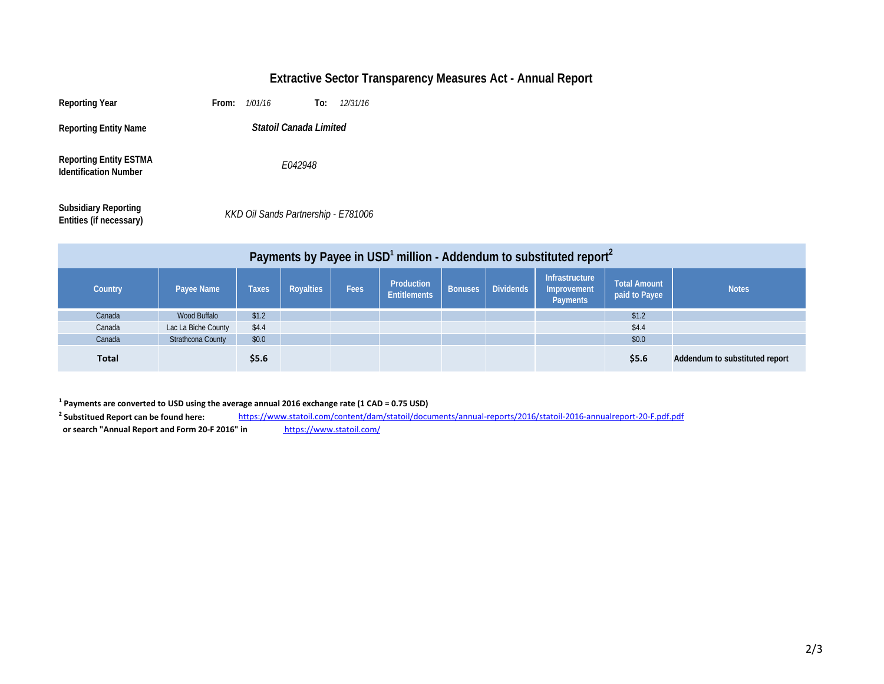## **Extractive Sector Transparency Measures Act - Annual Report**

| <b>Reporting Year</b>                                         | From: | 1/01/16                             | To: | 12/31/16 |
|---------------------------------------------------------------|-------|-------------------------------------|-----|----------|
| <b>Reporting Entity Name</b>                                  |       | Statoil Canada Limited              |     |          |
| <b>Reporting Entity ESTMA</b><br><b>Identification Number</b> |       | E042948                             |     |          |
| <b>Subsidiary Reporting</b><br>Entities (if necessary)        |       | KKD Oil Sands Partnership - E781006 |     |          |

| Payments by Payee in USD <sup>1</sup> million - Addendum to substituted report <sup>2</sup> |                     |              |                  |             |                                   |                |                  |                                                  |                               |                                |
|---------------------------------------------------------------------------------------------|---------------------|--------------|------------------|-------------|-----------------------------------|----------------|------------------|--------------------------------------------------|-------------------------------|--------------------------------|
| Country                                                                                     | Payee Name          | <b>Taxes</b> | <b>Royalties</b> | <b>Fees</b> | Production<br><b>Entitlements</b> | <b>Bonuses</b> | <b>Dividends</b> | Infrastructure<br>Improvement<br><b>Payments</b> | Total Amount<br>paid to Payee | <b>Notes</b>                   |
| Canada                                                                                      | Wood Buffalo        | \$1.2        |                  |             |                                   |                |                  |                                                  | \$1.2                         |                                |
| Canada                                                                                      | Lac La Biche County | \$4.4        |                  |             |                                   |                |                  |                                                  | \$4.4                         |                                |
| Canada                                                                                      | Strathcona County   | \$0.0\$      |                  |             |                                   |                |                  |                                                  | \$0.0                         |                                |
| <b>Total</b>                                                                                |                     | \$5.6\$      |                  |             |                                   |                |                  |                                                  | \$5.6                         | Addendum to substituted report |

**1 Payments are converted to USD using the average annual 2016 exchange rate (1 CAD = 0.75 USD)**

<sup>2</sup> Substitued Report can be found here:  **Substitued Report can be found here:** <https://www.statoil.com/content/dam/statoil/documents/annual-reports/2016/statoil-2016-annualreport-20-F.pdf.pdf> or search "Annual Report and Form 20-F 2016" in